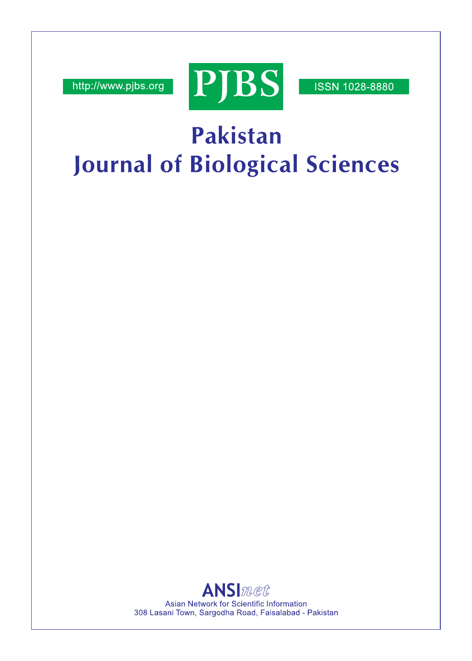http://www.pjbs.org



**ISSN 1028-8880** 

# Pakistan **Journal of Biological Sciences**

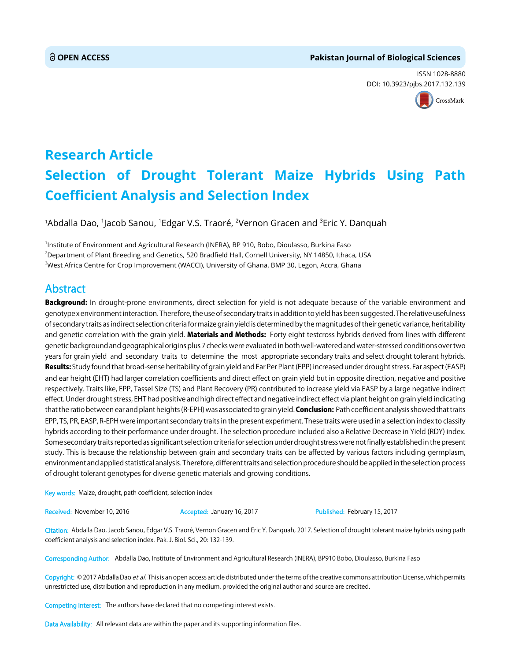#### **OPEN ACCESS Pakistan Journal of Biological Sciences**

ISSN 1028-8880 DOI: 10.3923/pjbs.2017.132.139



## **Research Article Selection of Drought Tolerant Maize Hybrids Using Path Coefficient Analysis and Selection Index**

'Abdalla Dao, <sup>1</sup>Jacob Sanou, <sup>1</sup>Edgar V.S. Traoré, <sup>2</sup>Vernon Gracen and <sup>3</sup>Eric Y. Danquah

1 Institute of Environment and Agricultural Research (INERA), BP 910, Bobo, Dioulasso, Burkina Faso 2 Department of Plant Breeding and Genetics, 520 Bradfield Hall, Cornell University, NY 14850, Ithaca, USA <sup>3</sup>West Africa Centre for Crop Improvement (WACCI), University of Ghana, BMP 30, Legon, Accra, Ghana

### Abstract

Background: In drought-prone environments, direct selection for yield is not adequate because of the variable environment and genotype x environment interaction. Therefore, the use of secondary traits in addition to yield has been suggested. The relative usefulness of secondary traits as indirect selection criteria for maize grain yield is determined by the magnitudes of their genetic variance, heritability and genetic correlation with the grain yield. Materials and Methods: Forty eight testcross hybrids derived from lines with different genetic background and geographical origins plus 7 checks were evaluated in both well-watered and water-stressed conditions over two years for grain yield and secondary traits to determine the most appropriate secondary traits and select drought tolerant hybrids. Results: Study found that broad-sense heritability of grain yield and Ear Per Plant (EPP) increased under drought stress. Ear aspect (EASP) and ear height (EHT) had larger correlation coefficients and direct effect on grain yield but in opposite direction, negative and positive respectively. Traits like, EPP, Tassel Size (TS) and Plant Recovery (PR) contributed to increase yield via EASP by a large negative indirect effect. Under drought stress, EHT had positive and high direct effect and negative indirect effect via plant height on grain yield indicating that the ratio between ear and plant heights (R-EPH) was associated to grain yield. **Conclusion:** Path coefficient analysis showed that traits EPP, TS, PR, EASP, R-EPH were important secondary traits in the present experiment. These traits were used in a selection index to classify hybrids according to their performance under drought. The selection procedure included also a Relative Decrease in Yield (RDY) index. Some secondary traits reported as significant selection criteria for selection under drought stress were not finally established in the present study. This is because the relationship between grain and secondary traits can be affected by various factors including germplasm, environment and applied statistical analysis. Therefore, different traits and selection procedure should be applied in the selection process of drought tolerant genotypes for diverse genetic materials and growing conditions.

Key words: Maize, drought, path coefficient, selection index

Received: November 10, 2016 **Accepted: January 16, 2017** Published: February 15, 2017

Citation: Abdalla Dao, Jacob Sanou, Edgar V.S. Traoré, Vernon Gracen and Eric Y. Danquah, 2017. Selection of drought tolerant maize hybrids using path coefficient analysis and selection index. Pak. J. Biol. Sci., 20: 132-139.

Corresponding Author: Abdalla Dao, Institute of Environment and Agricultural Research (INERA), BP910 Bobo, Dioulasso, Burkina Faso

Copyright: © 2017 Abdalla Dao et al. This is an open access article distributed under the terms of the creative commons attribution License, which permits unrestricted use, distribution and reproduction in any medium, provided the original author and source are credited.

Competing Interest: The authors have declared that no competing interest exists.

Data Availability: All relevant data are within the paper and its supporting information files.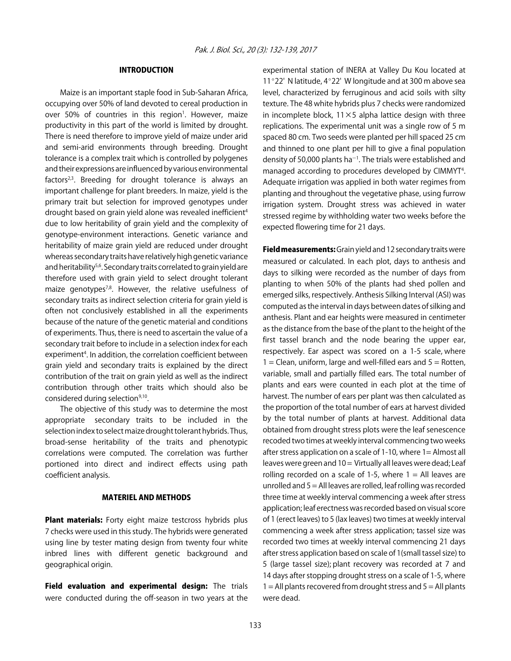#### INTRODUCTION

Maize is an important staple food in Sub-Saharan Africa, occupying over 50% of land devoted to cereal production in over 50% of countries in this region<sup>1</sup>. However, maize productivity in this part of the world is limited by drought. There is need therefore to improve yield of maize under arid and semi-arid environments through breeding. Drought tolerance is a complex trait which is controlled by polygenes and their expressions are influenced by various environmental factors $2,3$ . Breeding for drought tolerance is always an important challenge for plant breeders. In maize, yield is the primary trait but selection for improved genotypes under drought based on grain yield alone was revealed inefficient<sup>4</sup> due to low heritability of grain yield and the complexity of genotype-environment interactions. Genetic variance and heritability of maize grain yield are reduced under drought whereas secondary traits have relatively high genetic variance and heritability<sup>5,6</sup>. Secondary traits correlated to grain yield are therefore used with grain yield to select drought tolerant maize genotypes<sup>7,8</sup>. However, the relative usefulness of secondary traits as indirect selection criteria for grain yield is often not conclusively established in all the experiments because of the nature of the genetic material and conditions of experiments. Thus, there is need to ascertain the value of a secondary trait before to include in a selection index for each experiment<sup>4</sup>. In addition, the correlation coefficient between grain yield and secondary traits is explained by the direct contribution of the trait on grain yield as well as the indirect contribution through other traits which should also be considered during selection<sup>9,10</sup>.

The objective of this study was to determine the most appropriate secondary traits to be included in the selection index to select maize drought tolerant hybrids. Thus, broad-sense heritability of the traits and phenotypic correlations were computed. The correlation was further portioned into direct and indirect effects using path coefficient analysis.

#### MATERIEL AND METHODS

Plant materials: Forty eight maize testcross hybrids plus 7 checks were used in this study. The hybrids were generated using line by tester mating design from twenty four white inbred lines with different genetic background and geographical origin.

Field evaluation and experimental design: The trials were conducted during the off-season in two years at the experimental station of INERA at Valley Du Kou located at 11 $^{\circ}$ 22' N latitude, 4 $^{\circ}$ 22' W longitude and at 300 m above sea level, characterized by ferruginous and acid soils with silty texture. The 48 white hybrids plus 7 checks were randomized in incomplete block,  $11\times5$  alpha lattice design with three replications. The experimental unit was a single row of 5 m spaced 80 cm. Two seeds were planted per hill spaced 25 cm and thinned to one plant per hill to give a final population density of 50,000 plants ha<sup>-1</sup>. The trials were established and managed according to procedures developed by CIMMYT<sup>4</sup>. Adequate irrigation was applied in both water regimes from planting and throughout the vegetative phase, using furrow irrigation system. Drought stress was achieved in water stressed regime by withholding water two weeks before the expected flowering time for 21 days.

**Field measurements:** Grain yield and 12 secondary traits were measured or calculated. In each plot, days to anthesis and days to silking were recorded as the number of days from planting to when 50% of the plants had shed pollen and emerged silks, respectively. Anthesis Silking Interval (ASI) was computed as the interval in days between dates of silking and anthesis. Plant and ear heights were measured in centimeter as the distance from the base of the plant to the height of the first tassel branch and the node bearing the upper ear, respectively. Ear aspect was scored on a 1-5 scale, where  $1 =$  Clean, uniform, large and well-filled ears and  $5 =$  Rotten, variable, small and partially filled ears. The total number of plants and ears were counted in each plot at the time of harvest. The number of ears per plant was then calculated as the proportion of the total number of ears at harvest divided by the total number of plants at harvest. Additional data obtained from drought stress plots were the leaf senescence recoded two times at weekly interval commencing two weeks after stress application on a scale of 1-10, where 1= Almost all leaves were green and 10 = Virtually all leaves were dead; Leaf rolling recorded on a scale of 1-5, where  $1 =$  All leaves are unrolled and 5 = All leaves are rolled, leaf rolling was recorded three time at weekly interval commencing a week after stress application; leaf erectness was recorded based on visual score of 1 (erect leaves) to 5 (lax leaves) two times at weekly interval commencing a week after stress application; tassel size was recorded two times at weekly interval commencing 21 days after stress application based on scale of 1(small tassel size) to 5 (large tassel size); plant recovery was recorded at 7 and 14 days after stopping drought stress on a scale of 1-5, where  $1 =$  All plants recovered from drought stress and  $5 =$  All plants were dead.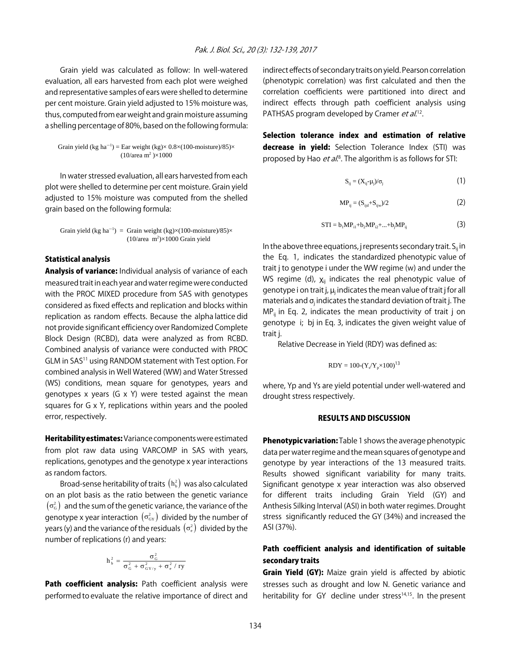Grain yield was calculated as follow: In well-watered evaluation, all ears harvested from each plot were weighed and representative samples of ears were shelled to determine per cent moisture. Grain yield adjusted to 15% moisture was, thus, computed from ear weight and grain moisture assuming a shelling percentage of 80%, based on the following formula:

Grain yield (kg ha<sup>-1</sup>) = Ear weight (kg) $\times$  0.8 $\times$ (100-moisture)/85) $\times$  $(10/\text{area m}^2)\times 1000$ 

In water stressed evaluation, all ears harvested from each plot were shelled to determine per cent moisture. Grain yield adjusted to 15% moisture was computed from the shelled grain based on the following formula:

Grain yield (kg ha<sup>-1</sup>) = Grain weight (kg) $\times$ (100-moisture)/85) $\times$  $(10/\text{area } m^2) \times 1000$  Grain yield

#### Statistical analysis

Analysis of variance: Individual analysis of variance of each measured trait in each year and water regime were conducted with the PROC MIXED procedure from SAS with genotypes considered as fixed effects and replication and blocks within replication as random effects. Because the alpha lattice did not provide significant efficiency over Randomized Complete Block Design (RCBD), data were analyzed as from RCBD. Combined analysis of variance were conducted with PROC GLM in SAS11 using RANDOM statement with Test option. For combined analysis in Well Watered (WW) and Water Stressed (WS) conditions, mean square for genotypes, years and genotypes x years (G x Y) were tested against the mean squares for G x Y, replications within years and the pooled error, respectively.

Heritability estimates: Variance components were estimated from plot raw data using VARCOMP in SAS with years, replications, genotypes and the genotype x year interactions as random factors.

Broad-sense heritability of traits  $(h_b^2)$  was also calculated on an plot basis as the ratio between the genetic variance  $(\sigma_{\rm G}^2)$  and the sum of the genetic variance, the variance of the genotype x year interaction  $(\sigma_{\text{GY}}^2)$  divided by the number of years (y) and the variance of the residuals  $(\sigma_e^2)$  divided by the number of replications (r) and years:

$$
h_{\,b}^{\,2}\,=\,\frac{\sigma_{\,G}^{\,2}}{\sigma_{\,G}^{\,2}\,+\,\sigma_{\,G\,Y\,/\,y}^{\,2}\,+\,\sigma_{\,e}^{\,2}\,/\,r y}
$$

Path coefficient analysis: Path coefficient analysis were performed to evaluate the relative importance of direct and indirect effects of secondary traits on yield. Pearson correlation (phenotypic correlation) was first calculated and then the correlation coefficients were partitioned into direct and indirect effects through path coefficient analysis using PATHSAS program developed by Cramer et al.<sup>12</sup>.

Selection tolerance index and estimation of relative decrease in yield: Selection Tolerance Index (STI) was proposed by Hao *et al*.<sup>8</sup>. The algorithm is as follows for STI:

$$
S_{ij} = (X_{ij} - \mu_j)/\sigma_j \tag{1}
$$

$$
MP_{ij} = (S_{ijd} + S_{ijw})/2
$$
 (2)

$$
STI = b_1 MP_{i1} + b_2 MP_{i2} + ... + b_j MP_{ij}
$$
 (3)

In the above three equations, j represents secondary trait.  $S_{ii}$  in the Eq. 1, indicates the standardized phenotypic value of trait j to genotype i under the WW regime (w) and under the WS regime (d),  $X_{ii}$  indicates the real phenotypic value of genotype i on trait j,  $\mu_i$  indicates the mean value of trait j for all materials and  $\sigma_i$  indicates the standard deviation of trait j. The  $MP_{ii}$  in Eq. 2, indicates the mean productivity of trait j on genotype i; bj in Eq. 3, indicates the given weight value of trait j.

Relative Decrease in Yield (RDY) was defined as:

$$
RDY = 100-(Y_s/Y_p \times 100)^{13}
$$

where, Yp and Ys are yield potential under well-watered and drought stress respectively.

#### RESULTS AND DISCUSSION

Phenotypic variation: Table 1 shows the average phenotypic data per water regime and the mean squares of genotype and genotype by year interactions of the 13 measured traits. Results showed significant variability for many traits. Significant genotype x year interaction was also observed for different traits including Grain Yield (GY) and Anthesis Silking Interval (ASI) in both water regimes. Drought stress significantly reduced the GY (34%) and increased the ASI (37%).

#### Path coefficient analysis and identification of suitable secondary traits

**Grain Yield (GY):** Maize grain yield is affected by abiotic stresses such as drought and low N. Genetic variance and heritability for GY decline under stress<sup>14,15</sup>. In the present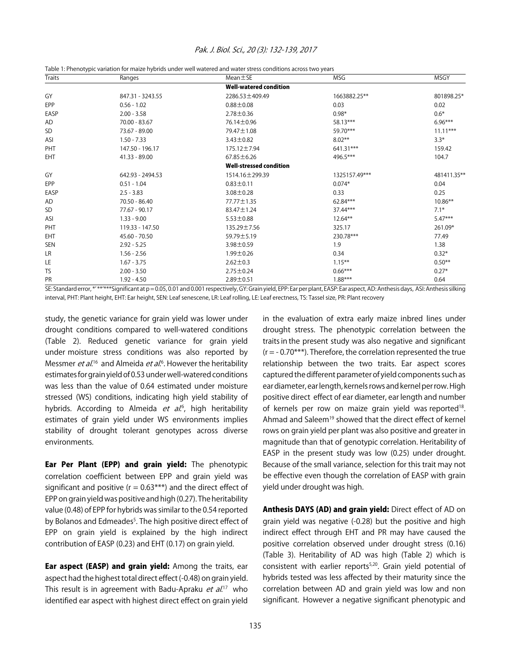| Traits     | Ranges           | $Mean \pm SE$                  | MSG           | MSGY        |  |
|------------|------------------|--------------------------------|---------------|-------------|--|
|            |                  | <b>Well-watered condition</b>  |               |             |  |
| GY         | 847.31 - 3243.55 | 2286.53 ±409.49                | 1663882.25**  | 801898.25*  |  |
| EPP        | $0.56 - 1.02$    | $0.88 \pm 0.08$                | 0.03          | 0.02        |  |
| EASP       | $2.00 - 3.58$    | $2.78 \pm 0.36$                | $0.98*$       | $0.6*$      |  |
| AD         | 70.00 - 83.67    | 76.14 ± 0.96                   | 58.13***      | $6.96***$   |  |
| <b>SD</b>  | 73.67 - 89.00    | 79.47 ± 1.08                   | 59.70***      | $11.11***$  |  |
| ASI        | $1.50 - 7.33$    | $3.43 \pm 0.82$                | $8.02***$     | $3.3*$      |  |
| PHT        | 147.50 - 196.17  | 175.12±7.94                    | 641.31***     | 159.42      |  |
| EHT        | 41.33 - 89.00    | $67.85 \pm 6.26$               | 496.5***      | 104.7       |  |
|            |                  | <b>Well-stressed condition</b> |               |             |  |
| GY         | 642.93 - 2494.53 | 1514.16 ± 299.39               | 1325157.49*** | 481411.35** |  |
| EPP        | $0.51 - 1.04$    | $0.83 \pm 0.11$                | $0.074*$      | 0.04        |  |
| EASP       | $2.5 - 3.83$     | $3.08 \pm 0.28$                | 0.33          | 0.25        |  |
| AD         | 70.50 - 86.40    | 77.77 ± 1.35                   | 62.84***      | $10.86**$   |  |
| SD         | 77.67 - 90.17    | 83.47±1.24                     | 37.44***      | $7.1*$      |  |
| ASI        | $1.33 - 9.00$    | $5.53 \pm 0.88$                | $12.64***$    | $5.47***$   |  |
| PHT        | 119.33 - 147.50  | 135.29 ± 7.56                  | 325.17        | 261.09*     |  |
| <b>EHT</b> | $45.60 - 70.50$  | 59.79±5.19                     | 230.78***     | 77.49       |  |
| SEN        | $2.92 - 5.25$    | $3.98 \pm 0.59$                | 1.9           | 1.38        |  |
| LR         | $1.56 - 2.56$    | $1.99 \pm 0.26$                | 0.34          | $0.32*$     |  |
| LE         | $1.67 - 3.75$    | $2.62 \pm 0.3$                 | $1.15***$     | $0.50**$    |  |
| <b>TS</b>  | $2.00 - 3.50$    | $2.75 \pm 0.24$                | $0.66***$     | $0.27*$     |  |
| PR         | $1.92 - 4.50$    | $2.89 \pm 0.51$                | $1.88***$     | 0.64        |  |

#### Pak. J. Biol. Sci., 20 (3): 132-139, 2017

Table 1: Phenotypic variation for maize hybrids under well watered and water stress conditions across two years

SE: Standard error, \*' \*\*'\*\*\*Significant at p = 0.05, 0.01 and 0.001 respectively, GY: Grain yield, EPP: Ear per plant, EASP: Ear aspect, AD: Anthesis days, ASI: Anthesis silking interval, PHT: Plant height, EHT: Ear height, SEN: Leaf senescene, LR: Leaf rolling, LE: Leaf erectness, TS: Tassel size, PR: Plant recovery

study, the genetic variance for grain yield was lower under drought conditions compared to well-watered conditions (Table 2). Reduced genetic variance for grain yield under moisture stress conditions was also reported by Messmer *et al*.<sup>16</sup> and Almeida *et al.*<sup>6</sup>. However the heritability estimates for grain yield of 0.53 under well-watered conditions was less than the value of 0.64 estimated under moisture stressed (WS) conditions, indicating high yield stability of hybrids. According to Almeida *et al*.<sup>6</sup>, high heritability estimates of grain yield under WS environments implies stability of drought tolerant genotypes across diverse environments.

Ear Per Plant (EPP) and grain yield: The phenotypic correlation coefficient between EPP and grain yield was significant and positive ( $r = 0.63***$ ) and the direct effect of EPP on grain yield was positive and high (0.27). The heritability value (0.48) of EPP for hybrids was similar to the 0.54 reported by Bolanos and Edmeades<sup>5</sup>. The high positive direct effect of EPP on grain yield is explained by the high indirect contribution of EASP (0.23) and EHT (0.17) on grain yield.

**Ear aspect (EASP) and grain yield:** Among the traits, ear aspect had the highest total direct effect (-0.48) on grain yield. This result is in agreement with Badu-Apraku *et al.*<sup>17</sup> who identified ear aspect with highest direct effect on grain yield in the evaluation of extra early maize inbred lines under drought stress. The phenotypic correlation between the traits in the present study was also negative and significant  $(r = -0.70***)$ . Therefore, the correlation represented the true relationship between the two traits. Ear aspect scores captured the different parameter of yield components such as ear diameter, ear length, kernels rows and kernel per row. High positive direct effect of ear diameter, ear length and number of kernels per row on maize grain yield was reported<sup>18</sup>. Ahmad and Saleem<sup>19</sup> showed that the direct effect of kernel rows on grain yield per plant was also positive and greater in magnitude than that of genotypic correlation. Heritability of EASP in the present study was low (0.25) under drought. Because of the small variance, selection for this trait may not be effective even though the correlation of EASP with grain yield under drought was high.

Anthesis DAYS (AD) and grain yield: Direct effect of AD on grain yield was negative (-0.28) but the positive and high indirect effect through EHT and PR may have caused the positive correlation observed under drought stress (0.16) (Table 3). Heritability of AD was high (Table 2) which is consistent with earlier reports<sup>5,20</sup>. Grain yield potential of hybrids tested was less affected by their maturity since the correlation between AD and grain yield was low and non significant. However a negative significant phenotypic and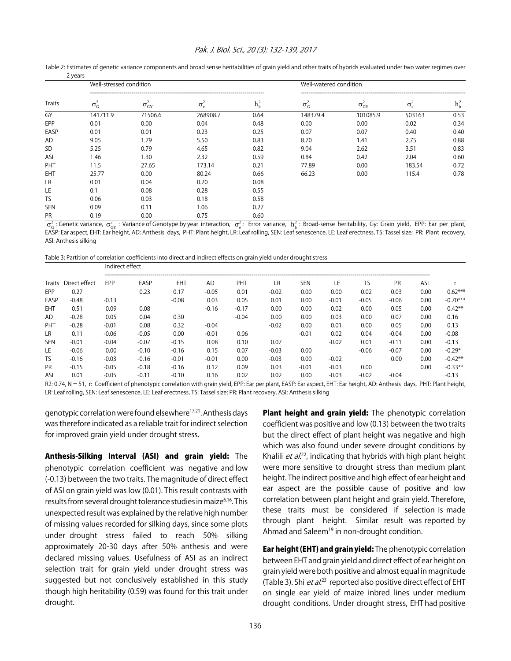#### Pak. J. Biol. Sci., 20 (3): 132-139, 2017

|            | Well-stressed condition |                        |              | Well-watered condition |                    |                                     |                    |         |  |
|------------|-------------------------|------------------------|--------------|------------------------|--------------------|-------------------------------------|--------------------|---------|--|
| Traits     | $\sigma_{G}^2$          | $\sigma_{\text{GY}}^2$ | $\sigma_e^2$ | $h_b^2$                | $\sigma_{\rm G}^2$ | $\sigma_{\textup{GY}}^{\textup{z}}$ | $\sigma_{\rm e}^2$ | $h_b^2$ |  |
| GY         | 141711.9                | 71506.6                | 268908.7     | 0.64                   | 148379.4           | 101085.9                            | 503163             | 0.53    |  |
| EPP        | 0.01                    | 0.00                   | 0.04         | 0.48                   | 0.00               | 0.00                                | 0.02               | 0.34    |  |
| EASP       | 0.01                    | 0.01                   | 0.23         | 0.25                   | 0.07               | 0.07                                | 0.40               | 0.40    |  |
| AD         | 9.05                    | 1.79                   | 5.50         | 0.83                   | 8.70               | 1.41                                | 2.75               | 0.88    |  |
| <b>SD</b>  | 5.25                    | 0.79                   | 4.65         | 0.82                   | 9.04               | 2.62                                | 3.51               | 0.83    |  |
| ASI        | 1.46                    | 1.30                   | 2.32         | 0.59                   | 0.84               | 0.42                                | 2.04               | 0.60    |  |
| PHT        | 11.5                    | 27.65                  | 173.14       | 0.21                   | 77.89              | 0.00                                | 183.54             | 0.72    |  |
| <b>EHT</b> | 25.77                   | 0.00                   | 80.24        | 0.66                   | 66.23              | 0.00                                | 115.4              | 0.78    |  |
| LR         | 0.01                    | 0.04                   | 0.20         | 0.08                   |                    |                                     |                    |         |  |
| LE         | 0.1                     | 0.08                   | 0.28         | 0.55                   |                    |                                     |                    |         |  |
| TS         | 0.06                    | 0.03                   | 0.18         | 0.58                   |                    |                                     |                    |         |  |
| <b>SEN</b> | 0.09                    | 0.11                   | 1.06         | 0.27                   |                    |                                     |                    |         |  |
| PR         | 0.19                    | 0.00                   | 0.75         | 0.60                   |                    |                                     |                    |         |  |

Table 2: Estimates of genetic variance components and broad sense heritabilities of grain yield and other traits of hybrids evaluated under two water regimes over 2 years

 $\sigma_{\rm G}^2$  : Genetic variance,  $\sigma_{\rm GY}^2$  : Variance of Genotype by year interaction,  $\sigma_{\rm e}^2$ : Error variance,  $\rm h_{\rm b}^2$  : Broad-sense heritability, Gy: Grain yield, EPP: Ear per plant, EASP: Ear aspect, EHT: Ear height, AD: Anthesis days, PHT: Plant height, LR: Leaf rolling, SEN: Leaf senescence, LE: Leaf erectness, TS: Tassel size; PR: Plant recovery, ASI: Anthesis silking

Table 3: Partition of correlation coefficients into direct and indirect effects on grain yield under drought stress

|            |               | Indirect effect |         |         |           |         |         |            |         |           |           |      |            |
|------------|---------------|-----------------|---------|---------|-----------|---------|---------|------------|---------|-----------|-----------|------|------------|
| Traits     | Direct effect | <b>EPP</b>      | EASP    | EHT     | <b>AD</b> | PHT     | LR      | <b>SEN</b> | LE      | <b>TS</b> | <b>PR</b> | ASI  |            |
| <b>EPP</b> | 0.27          |                 | 0.23    | 0.17    | $-0.05$   | 0.01    | $-0.02$ | 0.00       | 0.00    | 0.02      | 0.03      | 0.00 | $0.62***$  |
| EASP       | $-0.48$       | $-0.13$         |         | $-0.08$ | 0.03      | 0.05    | 0.01    | 0.00       | $-0.01$ | $-0.05$   | $-0.06$   | 0.00 | $-0.70***$ |
| <b>EHT</b> | 0.51          | 0.09            | 0.08    |         | $-0.16$   | $-0.17$ | 0.00    | 0.00       | 0.02    | 0.00      | 0.05      | 0.00 | $0.42**$   |
| AD         | $-0.28$       | 0.05            | 0.04    | 0.30    |           | $-0.04$ | 0.00    | 0.00       | 0.03    | 0.00      | 0.07      | 0.00 | 0.16       |
| PHT        | $-0.28$       | $-0.01$         | 0.08    | 0.32    | $-0.04$   |         | $-0.02$ | 0.00       | 0.01    | 0.00      | 0.05      | 0.00 | 0.13       |
| <b>LR</b>  | 0.11          | $-0.06$         | $-0.05$ | 0.00    | $-0.01$   | 0.06    |         | $-0.01$    | 0.02    | 0.04      | $-0.04$   | 0.00 | $-0.08$    |
| <b>SEN</b> | $-0.01$       | $-0.04$         | $-0.07$ | $-0.15$ | 0.08      | 0.10    | 0.07    |            | $-0.02$ | 0.01      | $-0.11$   | 0.00 | $-0.13$    |
| LE         | $-0.06$       | 0.00            | $-0.10$ | $-0.16$ | 0.15      | 0.07    | $-0.03$ | 0.00       |         | -0.06     | $-0.07$   | 0.00 | $-0.29*$   |
| <b>TS</b>  | $-0.16$       | $-0.03$         | $-0.16$ | $-0.01$ | $-0.01$   | 0.00    | $-0.03$ | 0.00       | $-0.02$ |           | 0.00      | 0.00 | $-0.42**$  |
| <b>PR</b>  | $-0.15$       | $-0.05$         | $-0.18$ | $-0.16$ | 0.12      | 0.09    | 0.03    | $-0.01$    | $-0.03$ | 0.00      |           | 0.00 | $-0.33**$  |
| ASI        | 0.01          | $-0.05$         | $-0.11$ | $-0.10$ | 0.16      | 0.02    | 0.02    | 0.00       | $-0.03$ | $-0.02$   | $-0.04$   |      | $-0.13$    |

R2: 0.74, N = 51, r: Coefficient of phenotypic correlation with grain yield, EPP: Ear per plant, EASP: Ear aspect, EHT: Ear height, AD: Anthesis days, PHT: Plant height, LR: Leaf rolling, SEN: Leaf senescence, LE: Leaf erectness, TS: Tassel size; PR: Plant recovery, ASI: Anthesis silking

genotypic correlation were found elsewhere<sup>17,21</sup>. Anthesis days was therefore indicated as a reliable trait for indirect selection for improved grain yield under drought stress.

Anthesis-Silking Interval (ASI) and grain yield: The phenotypic correlation coefficient was negative and low (-0.13) between the two traits. The magnitude of direct effect of ASI on grain yield was low (0.01). This result contrasts with results from several drought tolerance studies in maize<sup>6,16</sup>. This unexpected result was explained by the relative high number of missing values recorded for silking days, since some plots under drought stress failed to reach 50% silking approximately 20-30 days after 50% anthesis and were declared missing values. Usefulness of ASI as an indirect selection trait for grain yield under drought stress was suggested but not conclusively established in this study though high heritability (0.59) was found for this trait under drought.

Plant height and grain yield: The phenotypic correlation coefficient was positive and low (0.13) between the two traits but the direct effect of plant height was negative and high which was also found under severe drought conditions by Khalili *et al.*<sup>22</sup>, indicating that hybrids with high plant height were more sensitive to drought stress than medium plant height. The indirect positive and high effect of ear height and ear aspect are the possible cause of positive and low correlation between plant height and grain yield. Therefore, these traits must be considered if selection is made through plant height. Similar result was reported by Ahmad and Saleem<sup>19</sup> in non-drought condition.

Ear height (EHT) and grain yield: The phenotypic correlation between EHT and grain yield and direct effect of ear height on grain yield were both positive and almost equal in magnitude (Table 3). Shi *et al*.<sup>23</sup> reported also positive direct effect of EHT on single ear yield of maize inbred lines under medium drought conditions. Under drought stress, EHT had positive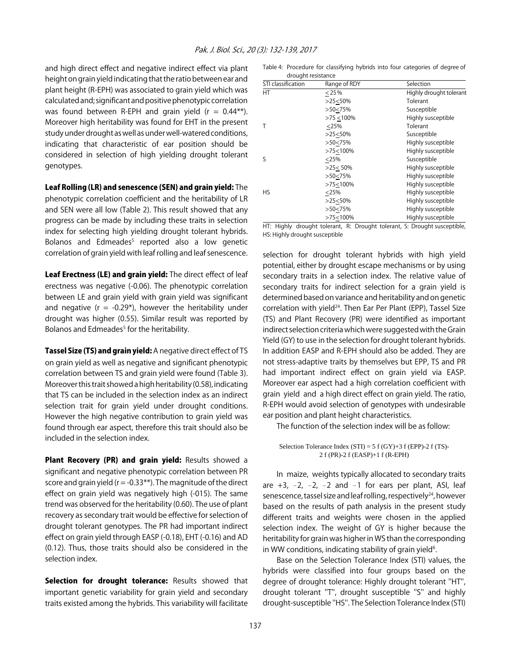and high direct effect and negative indirect effect via plant height on grain yield indicating that the ratio between ear and plant height (R-EPH) was associated to grain yield which was calculated and; significant and positive phenotypic correlation was found between R-EPH and grain yield  $(r = 0.44**)$ . Moreover high heritability was found for EHT in the present study under drought as well as under well-watered conditions, indicating that characteristic of ear position should be considered in selection of high yielding drought tolerant genotypes.

Leaf Rolling (LR) and senescence (SEN) and grain yield: The phenotypic correlation coefficient and the heritability of LR and SEN were all low (Table 2). This result showed that any progress can be made by including these traits in selection index for selecting high yielding drought tolerant hybrids. Bolanos and Edmeades<sup>5</sup> reported also a low genetic correlation of grain yield with leaf rolling and leaf senescence.

Leaf Erectness (LE) and grain yield: The direct effect of leaf erectness was negative (-0.06). The phenotypic correlation between LE and grain yield with grain yield was significant and negative ( $r = -0.29$ <sup>\*</sup>), however the heritability under drought was higher (0.55). Similar result was reported by Bolanos and Edmeades<sup>5</sup> for the heritability.

Tassel Size (TS) and grain yield: A negative direct effect of TS on grain yield as well as negative and significant phenotypic correlation between TS and grain yield were found (Table 3). Moreover this trait showed a high heritability (0.58), indicating that TS can be included in the selection index as an indirect selection trait for grain yield under drought conditions. However the high negative contribution to grain yield was found through ear aspect, therefore this trait should also be included in the selection index.

Plant Recovery (PR) and grain yield: Results showed a significant and negative phenotypic correlation between PR score and grain yield ( $r = -0.33**$ ). The magnitude of the direct effect on grain yield was negatively high (-015). The same trend was observed for the heritability (0.60). The use of plant recovery as secondary trait would be effective for selection of drought tolerant genotypes. The PR had important indirect effect on grain yield through EASP (-0.18), EHT (-0.16) and AD (0.12). Thus, those traits should also be considered in the selection index.

Selection for drought tolerance: Results showed that important genetic variability for grain yield and secondary traits existed among the hybrids. This variability will facilitate

Table 4: Procedure for classifying hybrids into four categories of degree of drought resistance

| STI classification | Range of RDY  | Selection               |
|--------------------|---------------|-------------------------|
| НT                 | < 25%         | Highly drought tolerant |
|                    | >25<50%       | Tolerant                |
|                    | >50<75%       | Susceptible             |
|                    | $>75 < 100\%$ | Highly susceptible      |
|                    | $<$ 25%       | Tolerant                |
|                    | >25<50%       | Susceptible             |
|                    | >50<75%       | Highly susceptible      |
|                    | >75<100%      | Highly susceptible      |
| S                  | $<$ 25%       | Susceptible             |
|                    | $>25 < 50\%$  | Highly susceptible      |
|                    | >50<75%       | Highly susceptible      |
|                    | >75<100%      | Highly susceptible      |
| HS                 | $<$ 25%       | Highly susceptible      |
|                    | >25<50%       | Highly susceptible      |
|                    | >50<75%       | Highly susceptible      |
|                    | >75<100%      | Highly susceptible      |

HT: Highly drought tolerant, R: Drought tolerant, S: Drought susceptible, HS: Highly drought susceptible

selection for drought tolerant hybrids with high yield potential, either by drought escape mechanisms or by using secondary traits in a selection index. The relative value of secondary traits for indirect selection for a grain yield is determined based on variance and heritability and on genetic correlation with yield<sup>24</sup>. Then Ear Per Plant (EPP), Tassel Size (TS) and Plant Recovery (PR) were identified as important indirect selection criteria which were suggested with the Grain Yield (GY) to use in the selection for drought tolerant hybrids. In addition EASP and R-EPH should also be added. They are not stress-adaptive traits by themselves but EPP, TS and PR had important indirect effect on grain yield via EASP. Moreover ear aspect had a high correlation coefficient with grain yield and a high direct effect on grain yield. The ratio, R-EPH would avoid selection of genotypes with undesirable ear position and plant height characteristics.

The function of the selection index will be as follow:

Selection Tolerance Index  $(STI) = 5 f(GY) + 3 f(EPP) - 2 f(TS)$ -2 f (PR)-2 f (EASP)+1 f (R-EPH)

In maize, weights typically allocated to secondary traits are  $+3$ ,  $-2$ ,  $-2$ ,  $-2$  and  $-1$  for ears per plant, ASI, leaf senescence, tassel size and leaf rolling, respectively<sup>24</sup>, however based on the results of path analysis in the present study different traits and weights were chosen in the applied selection index. The weight of GY is higher because the heritability for grain was higher in WS than the corresponding in WW conditions, indicating stability of grain yield<sup>6</sup>.

Base on the Selection Tolerance Index (STI) values, the hybrids were classified into four groups based on the degree of drought tolerance: Highly drought tolerant ''HT'', drought tolerant ''T'', drought susceptible ''S'' and highly drought-susceptible ''HS''. The Selection Tolerance Index (STI)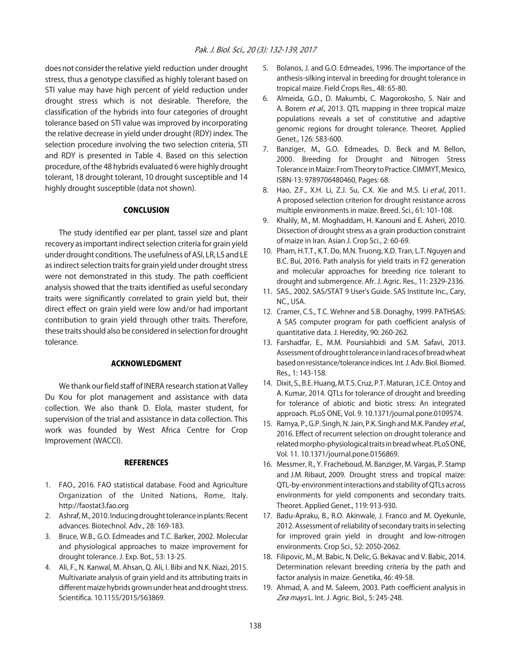does not consider the relative yield reduction under drought stress, thus a genotype classified as highly tolerant based on STI value may have high percent of yield reduction under drought stress which is not desirable. Therefore, the classification of the hybrids into four categories of drought tolerance based on STI value was improved by incorporating the relative decrease in yield under drought (RDY) index. The selection procedure involving the two selection criteria, STI and RDY is presented in Table 4. Based on this selection procedure, of the 48 hybrids evaluated 6 were highly drought tolerant, 18 drought tolerant, 10 drought susceptible and 14 highly drought susceptible (data not shown).

#### **CONCLUSION**

The study identified ear per plant, tassel size and plant recovery as important indirect selection criteria for grain yield under drought conditions. The usefulness of ASI, LR, LS and LE as indirect selection traits for grain yield under drought stress were not demonstrated in this study. The path coefficient analysis showed that the traits identified as useful secondary traits were significantly correlated to grain yield but, their direct effect on grain yield were low and/or had important contribution to grain yield through other traits. Therefore, these traits should also be considered in selection for drought tolerance.

#### ACKNOWLEDGMENT

We thank our field staff of INERA research station at Valley Du Kou for plot management and assistance with data collection. We also thank D. Elola, master student, for supervision of the trial and assistance in data collection. This work was founded by West Africa Centre for Crop Improvement (WACCI).

#### **REFERENCES**

- 1. FAO., 2016. FAO statistical database. Food and Agriculture Organization of the United Nations, Rome, Italy. http://faostat3.fao.org
- 2. Ashraf, M., 2010. Inducing drought tolerance in plants: Recent advances. Biotechnol. Adv., 28: 169-183.
- 3. Bruce, W.B., G.O. Edmeades and T.C. Barker, 2002. Molecular and physiological approaches to maize improvement for drought tolerance. J. Exp. Bot., 53: 13-25.
- 4. Ali, F., N. Kanwal, M. Ahsan, Q. Ali, I. Bibi and N.K. Niazi, 2015. Multivariate analysis of grain yield and its attributing traits in different maize hybrids grown under heat and drought stress. Scientifica. 10.1155/2015/563869.
- 5. Bolanos, J. and G.O. Edmeades, 1996. The importance of the anthesis-silking interval in breeding for drought tolerance in tropical maize. Field Crops Res., 48: 65-80.
- 6. Almeida, G.D., D. Makumbi, C. Magorokosho, S. Nair and A. Borem et al., 2013. QTL mapping in three tropical maize populations reveals a set of constitutive and adaptive genomic regions for drought tolerance. Theoret. Applied Genet., 126: 583-600.
- 7. Banziger, M., G.O. Edmeades, D. Beck and M. Bellon, 2000. Breeding for Drought and Nitrogen Stress Tolerance in Maize: From Theory to Practice. CIMMYT, Mexico, ISBN-13: 9789706480460, Pages: 68.
- 8. Hao, Z.F., X.H. Li, Z.J. Su, C.X. Xie and M.S. Li et al., 2011. A proposed selection criterion for drought resistance across multiple environments in maize. Breed. Sci., 61: 101-108.
- 9. Khalily, M., M. Moghaddam, H. Kanouni and E. Asheri, 2010. Dissection of drought stress as a grain production constraint of maize in Iran. Asian J. Crop Sci., 2: 60-69.
- 10. Pham, H.T.T., K.T. Do, M.N. Truong, X.D. Tran, L.T. Nguyen and B.C. Bui, 2016. Path analysis for yield traits in F2 generation and molecular approaches for breeding rice tolerant to drought and submergence. Afr. J. Agric. Res., 11: 2329-2336.
- 11. SAS., 2002. SAS/STAT 9 User's Guide. SAS Institute Inc., Cary, NC., USA.
- 12. Cramer, C.S., T.C. Wehner and S.B. Donaghy, 1999. PATHSAS: A SAS computer program for path coefficient analysis of quantitative data. J. Heredity, 90: 260-262.
- 13. Farshadfar, E., M.M. Poursiahbidi and S.M. Safavi, 2013. Assessment of drought tolerance in land races of bread wheat based on resistance/tolerance indices. Int. J. Adv. Biol. Biomed. Res., 1: 143-158.
- 14. Dixit, S., B.E. Huang, M.T.S. Cruz, P.T. Maturan, J.C.E. Ontoy and A. Kumar, 2014. QTLs for tolerance of drought and breeding for tolerance of abiotic and biotic stress: An integrated approach. PLoS ONE, Vol. 9. 10.1371/journal.pone.0109574.
- 15. Ramya, P., G.P. Singh, N. Jain, P.K. Singh and M.K. Pandey et al., 2016. Effect of recurrent selection on drought tolerance and related morpho-physiological traits in bread wheat. PLoS ONE, Vol. 11. 10.1371/journal.pone.0156869.
- 16. Messmer, R., Y. Fracheboud, M. Banziger, M. Vargas, P. Stamp and J.M. Ribaut, 2009. Drought stress and tropical maize: QTL-by-environment interactions and stability of QTLs across environments for yield components and secondary traits. Theoret. Applied Genet., 119: 913-930.
- 17. Badu-Apraku, B., R.O. Akinwale, J. Franco and M. Oyekunle, 2012. Assessment of reliability of secondary traits in selecting for improved grain yield in drought and low-nitrogen environments. Crop Sci., 52: 2050-2062.
- 18. Filipovic, M., M. Babic, N. Delic, G. Bekavac and V. Babic, 2014. Determination relevant breeding criteria by the path and factor analysis in maize. Genetika, 46: 49-58.
- 19. Ahmad, A. and M. Saleem, 2003. Path coefficient analysis in Zea mays L. Int. J. Agric. Biol., 5: 245-248.